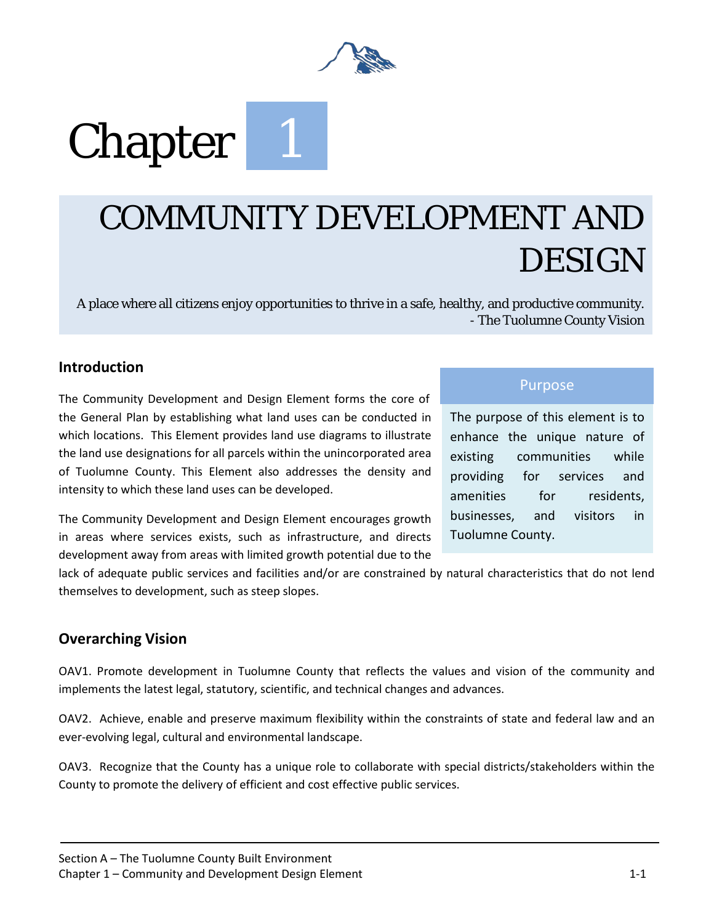

# **Chapter**

## COMMUNITY DEVELOPMENT AND DESIGN

A place where all citizens enjoy opportunities to thrive in a safe, healthy, and productive community. - The Tuolumne County Vision

### **Introduction**

The Community Development and Design Element forms the core of the General Plan by establishing what land uses can be conducted in which locations. This Element provides land use diagrams to illustrate the land use designations for all parcels within the unincorporated area of Tuolumne County. This Element also addresses the density and intensity to which these land uses can be developed.

The Community Development and Design Element encourages growth in areas where services exists, such as infrastructure, and directs development away from areas with limited growth potential due to the

### Purpose

The purpose of this element is to enhance the unique nature of existing communities while providing for services and amenities for residents. businesses, and visitors in Tuolumne County.

lack of adequate public services and facilities and/or are constrained by natural characteristics that do not lend themselves to development, such as steep slopes.

### **Overarching Vision**

OAV1. Promote development in Tuolumne County that reflects the values and vision of the community and implements the latest legal, statutory, scientific, and technical changes and advances.

OAV2. Achieve, enable and preserve maximum flexibility within the constraints of state and federal law and an ever-evolving legal, cultural and environmental landscape.

OAV3. Recognize that the County has a unique role to collaborate with special districts/stakeholders within the County to promote the delivery of efficient and cost effective public services.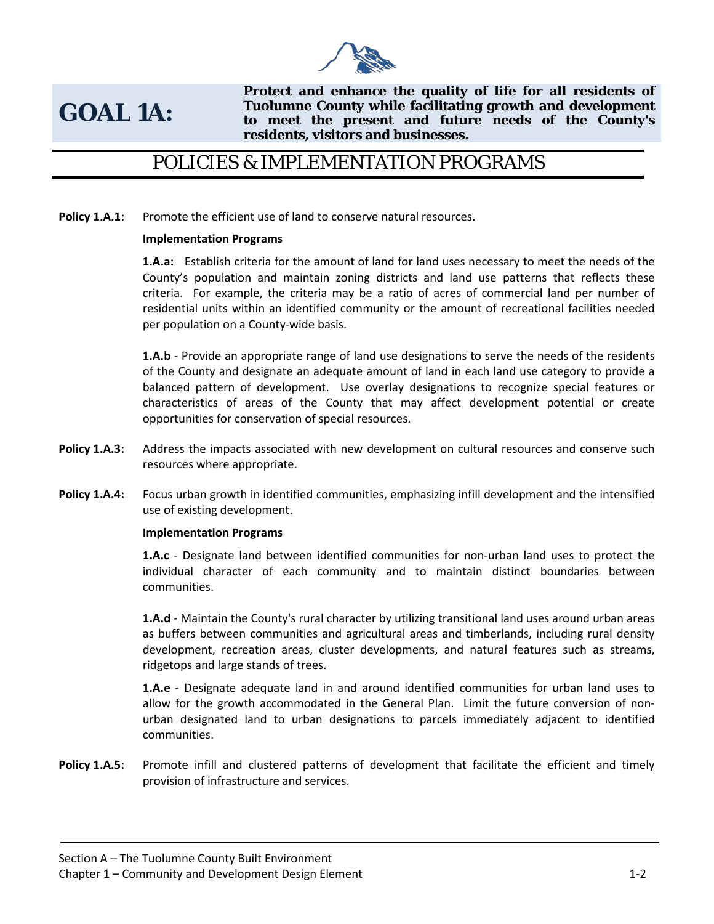

### **GOAL 1A:**

**Protect and enhance the quality of life for all residents of Tuolumne County while facilitating growth and development to meet the present and future needs of the County's residents, visitors and businesses.** 

### POLICIES & IMPLEMENTATION PROGRAMS

Policy 1.A.1: Promote the efficient use of land to conserve natural resources.

### **Implementation Programs**

**1.A.a:** Establish criteria for the amount of land for land uses necessary to meet the needs of the County's population and maintain zoning districts and land use patterns that reflects these criteria. For example, the criteria may be a ratio of acres of commercial land per number of residential units within an identified community or the amount of recreational facilities needed per population on a County-wide basis.

**1.A.b** - Provide an appropriate range of land use designations to serve the needs of the residents of the County and designate an adequate amount of land in each land use category to provide a balanced pattern of development. Use overlay designations to recognize special features or characteristics of areas of the County that may affect development potential or create opportunities for conservation of special resources.

- **Policy 1.A.3:** Address the impacts associated with new development on cultural resources and conserve such resources where appropriate.
- **Policy 1.A.4:** Focus urban growth in identified communities, emphasizing infill development and the intensified use of existing development.

### **Implementation Programs**

**1.A.c** - Designate land between identified communities for non-urban land uses to protect the individual character of each community and to maintain distinct boundaries between communities.

**1.A.d** - Maintain the County's rural character by utilizing transitional land uses around urban areas as buffers between communities and agricultural areas and timberlands, including rural density development, recreation areas, cluster developments, and natural features such as streams, ridgetops and large stands of trees.

**1.A.e** - Designate adequate land in and around identified communities for urban land uses to allow for the growth accommodated in the General Plan. Limit the future conversion of nonurban designated land to urban designations to parcels immediately adjacent to identified communities.

**Policy 1.A.5:** Promote infill and clustered patterns of development that facilitate the efficient and timely provision of infrastructure and services.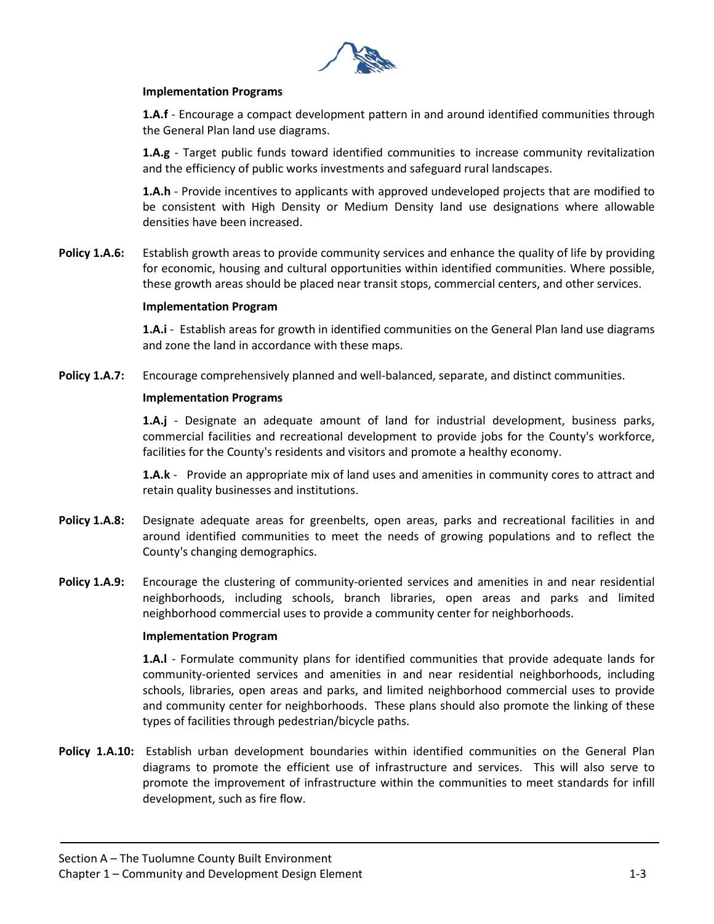

### **Implementation Programs**

**1.A.f** - Encourage a compact development pattern in and around identified communities through the General Plan land use diagrams.

**1.A.g** - Target public funds toward identified communities to increase community revitalization and the efficiency of public works investments and safeguard rural landscapes.

**1.A.h** - Provide incentives to applicants with approved undeveloped projects that are modified to be consistent with High Density or Medium Density land use designations where allowable densities have been increased.

**Policy 1.A.6:** Establish growth areas to provide community services and enhance the quality of life by providing for economic, housing and cultural opportunities within identified communities. Where possible, these growth areas should be placed near transit stops, commercial centers, and other services.

### **Implementation Program**

**1.A.i** - Establish areas for growth in identified communities on the General Plan land use diagrams and zone the land in accordance with these maps.

**Policy 1.A.7:** Encourage comprehensively planned and well-balanced, separate, and distinct communities.

### **Implementation Programs**

**1.A.j** - Designate an adequate amount of land for industrial development, business parks, commercial facilities and recreational development to provide jobs for the County's workforce, facilities for the County's residents and visitors and promote a healthy economy.

**1.A.k** - Provide an appropriate mix of land uses and amenities in community cores to attract and retain quality businesses and institutions.

- **Policy 1.A.8:** Designate adequate areas for greenbelts, open areas, parks and recreational facilities in and around identified communities to meet the needs of growing populations and to reflect the County's changing demographics.
- **Policy 1.A.9:** Encourage the clustering of community-oriented services and amenities in and near residential neighborhoods, including schools, branch libraries, open areas and parks and limited neighborhood commercial uses to provide a community center for neighborhoods.

### **Implementation Program**

**1.A.l** - Formulate community plans for identified communities that provide adequate lands for community-oriented services and amenities in and near residential neighborhoods, including schools, libraries, open areas and parks, and limited neighborhood commercial uses to provide and community center for neighborhoods. These plans should also promote the linking of these types of facilities through pedestrian/bicycle paths.

**Policy 1.A.10:** Establish urban development boundaries within identified communities on the General Plan diagrams to promote the efficient use of infrastructure and services. This will also serve to promote the improvement of infrastructure within the communities to meet standards for infill development, such as fire flow.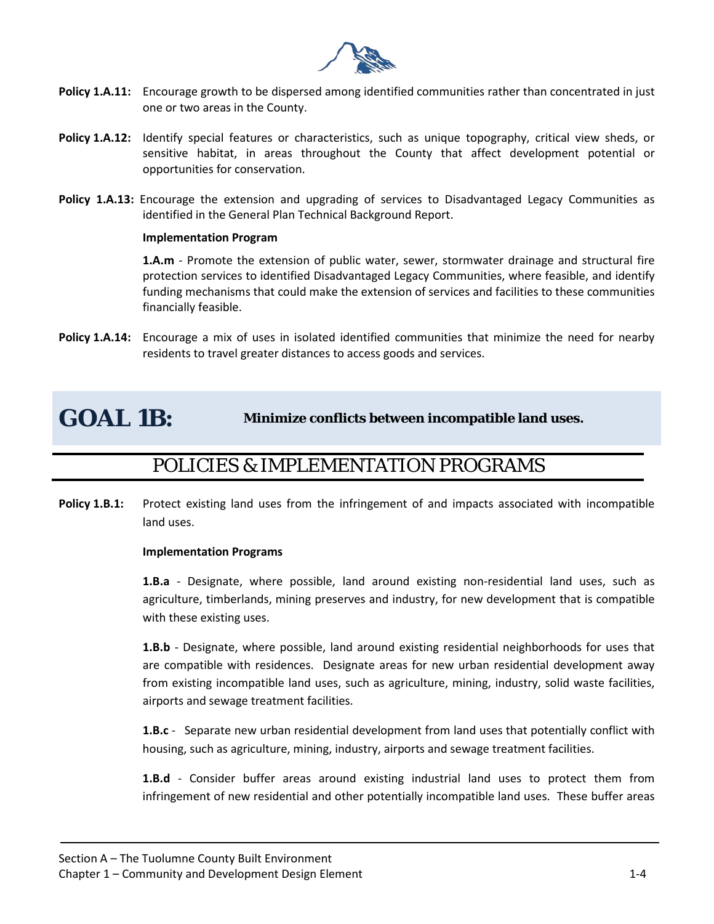

- **Policy 1.A.11:** Encourage growth to be dispersed among identified communities rather than concentrated in just one or two areas in the County.
- **Policy 1.A.12:** Identify special features or characteristics, such as unique topography, critical view sheds, or sensitive habitat, in areas throughout the County that affect development potential or opportunities for conservation.
- **Policy 1.A.13:** Encourage the extension and upgrading of services to Disadvantaged Legacy Communities as identified in the General Plan Technical Background Report.

### **Implementation Program**

**1.A.m** - Promote the extension of public water, sewer, stormwater drainage and structural fire protection services to identified Disadvantaged Legacy Communities, where feasible, and identify funding mechanisms that could make the extension of services and facilities to these communities financially feasible.

**Policy 1.A.14:** Encourage a mix of uses in isolated identified communities that minimize the need for nearby residents to travel greater distances to access goods and services.

### **GOAL 1B: Minimize conflicts between incompatible land uses.**

### POLICIES & IMPLEMENTATION PROGRAMS

**Policy 1.B.1:** Protect existing land uses from the infringement of and impacts associated with incompatible land uses.

### **Implementation Programs**

**1.B.a** - Designate, where possible, land around existing non-residential land uses, such as agriculture, timberlands, mining preserves and industry, for new development that is compatible with these existing uses.

**1.B.b** - Designate, where possible, land around existing residential neighborhoods for uses that are compatible with residences. Designate areas for new urban residential development away from existing incompatible land uses, such as agriculture, mining, industry, solid waste facilities, airports and sewage treatment facilities.

**1.B.c** - Separate new urban residential development from land uses that potentially conflict with housing, such as agriculture, mining, industry, airports and sewage treatment facilities.

**1.B.d** - Consider buffer areas around existing industrial land uses to protect them from infringement of new residential and other potentially incompatible land uses. These buffer areas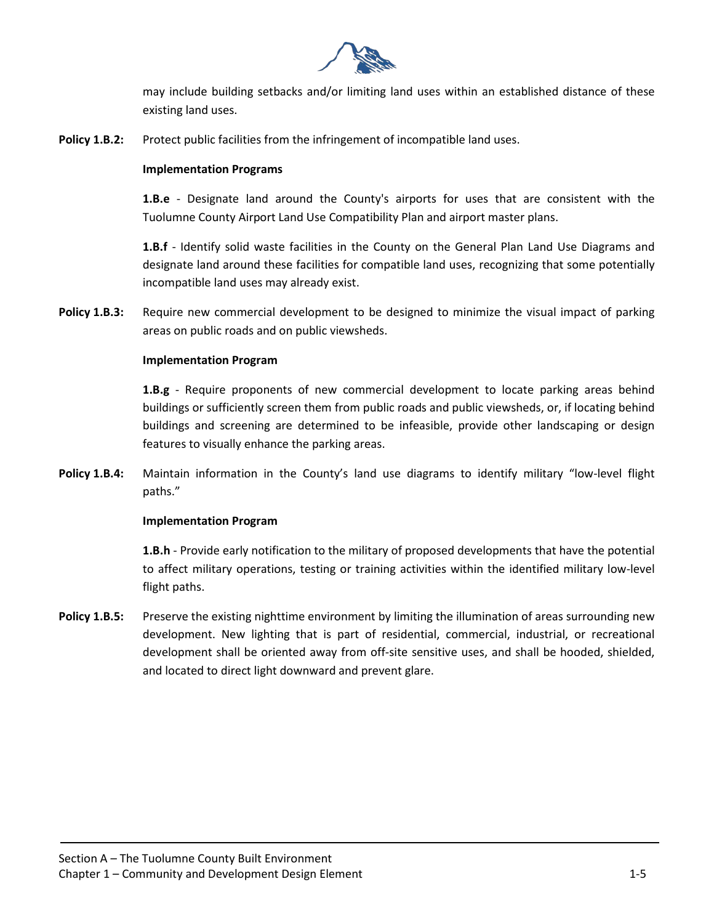

may include building setbacks and/or limiting land uses within an established distance of these existing land uses.

**Policy 1.B.2:** Protect public facilities from the infringement of incompatible land uses.

### **Implementation Programs**

**1.B.e** - Designate land around the County's airports for uses that are consistent with the Tuolumne County Airport Land Use Compatibility Plan and airport master plans.

**1.B.f** - Identify solid waste facilities in the County on the General Plan Land Use Diagrams and designate land around these facilities for compatible land uses, recognizing that some potentially incompatible land uses may already exist.

**Policy 1.B.3:** Require new commercial development to be designed to minimize the visual impact of parking areas on public roads and on public viewsheds.

### **Implementation Program**

**1.B.g** - Require proponents of new commercial development to locate parking areas behind buildings or sufficiently screen them from public roads and public viewsheds, or, if locating behind buildings and screening are determined to be infeasible, provide other landscaping or design features to visually enhance the parking areas.

**Policy 1.B.4:** Maintain information in the County's land use diagrams to identify military "low-level flight paths."

#### **Implementation Program**

**1.B.h** - Provide early notification to the military of proposed developments that have the potential to affect military operations, testing or training activities within the identified military low-level flight paths.

**Policy 1.B.5:** Preserve the existing nighttime environment by limiting the illumination of areas surrounding new development. New lighting that is part of residential, commercial, industrial, or recreational development shall be oriented away from off-site sensitive uses, and shall be hooded, shielded, and located to direct light downward and prevent glare.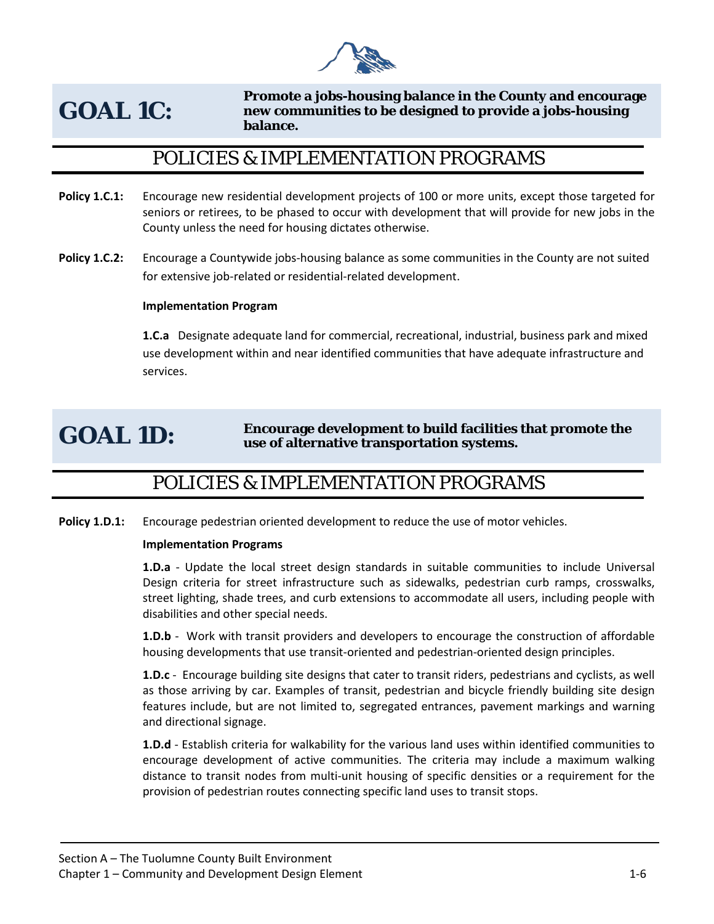

### **GOAL 1C:**

**Promote a jobs-housing balance in the County and encourage new communities to be designed to provide a jobs-housing balance.** 

### POLICIES & IMPLEMENTATION PROGRAMS

- **Policy 1.C.1:** Encourage new residential development projects of 100 or more units, except those targeted for seniors or retirees, to be phased to occur with development that will provide for new jobs in the County unless the need for housing dictates otherwise.
- **Policy 1.C.2:** Encourage a Countywide jobs-housing balance as some communities in the County are not suited for extensive job-related or residential-related development.

### **Implementation Program**

**1.C.a** Designate adequate land for commercial, recreational, industrial, business park and mixed use development within and near identified communities that have adequate infrastructure and services.

### GOAL 1D: **Encourage development to build facilities that promote the use of alternative transportation systems.**

### POLICIES & IMPLEMENTATION PROGRAMS

**Policy 1.D.1:** Encourage pedestrian oriented development to reduce the use of motor vehicles.

### **Implementation Programs**

**1.D.a** - Update the local street design standards in suitable communities to include Universal Design criteria for street infrastructure such as sidewalks, pedestrian curb ramps, crosswalks, street lighting, shade trees, and curb extensions to accommodate all users, including people with disabilities and other special needs.

**1.D.b** - Work with transit providers and developers to encourage the construction of affordable housing developments that use transit-oriented and pedestrian-oriented design principles.

**1.D.c** - Encourage building site designs that cater to transit riders, pedestrians and cyclists, as well as those arriving by car. Examples of transit, pedestrian and bicycle friendly building site design features include, but are not limited to, segregated entrances, pavement markings and warning and directional signage.

**1.D.d** - Establish criteria for walkability for the various land uses within identified communities to encourage development of active communities. The criteria may include a maximum walking distance to transit nodes from multi-unit housing of specific densities or a requirement for the provision of pedestrian routes connecting specific land uses to transit stops.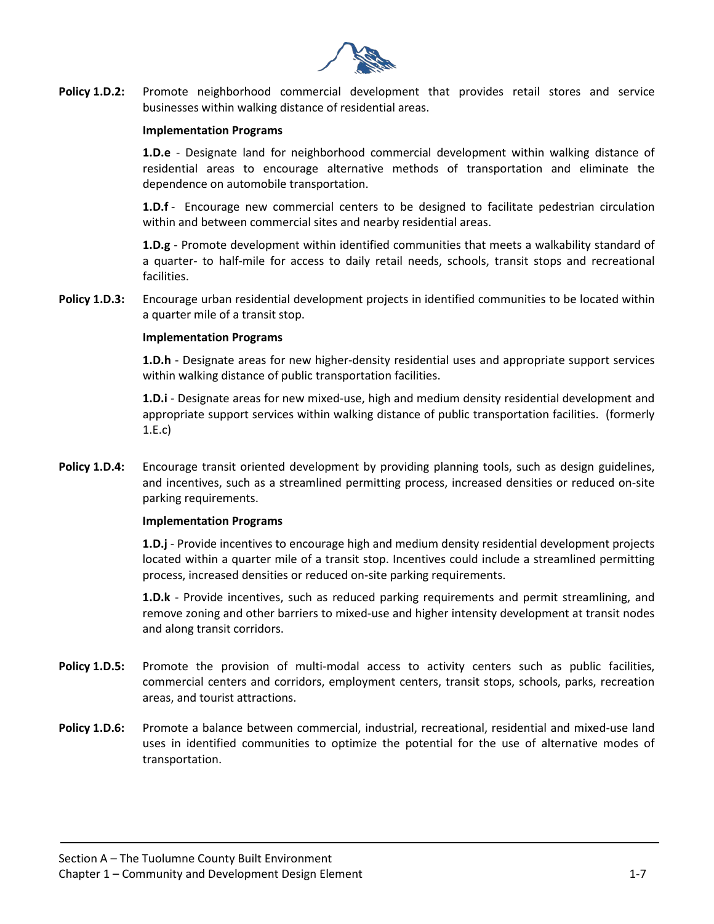

**Policy 1.D.2:** Promote neighborhood commercial development that provides retail stores and service businesses within walking distance of residential areas.

### **Implementation Programs**

**1.D.e** - Designate land for neighborhood commercial development within walking distance of residential areas to encourage alternative methods of transportation and eliminate the dependence on automobile transportation.

**1.D.f** - Encourage new commercial centers to be designed to facilitate pedestrian circulation within and between commercial sites and nearby residential areas.

**1.D.g** - Promote development within identified communities that meets a walkability standard of a quarter- to half-mile for access to daily retail needs, schools, transit stops and recreational facilities.

**Policy 1.D.3:** Encourage urban residential development projects in identified communities to be located within a quarter mile of a transit stop.

#### **Implementation Programs**

**1.D.h** - Designate areas for new higher-density residential uses and appropriate support services within walking distance of public transportation facilities.

**1.D.i** - Designate areas for new mixed-use, high and medium density residential development and appropriate support services within walking distance of public transportation facilities. (formerly 1.E.c)

**Policy 1.D.4:** Encourage transit oriented development by providing planning tools, such as design guidelines, and incentives, such as a streamlined permitting process, increased densities or reduced on-site parking requirements.

#### **Implementation Programs**

**1.D.j** - Provide incentives to encourage high and medium density residential development projects located within a quarter mile of a transit stop. Incentives could include a streamlined permitting process, increased densities or reduced on-site parking requirements.

**1.D.k** - Provide incentives, such as reduced parking requirements and permit streamlining, and remove zoning and other barriers to mixed-use and higher intensity development at transit nodes and along transit corridors.

- Policy 1.D.5: Promote the provision of multi-modal access to activity centers such as public facilities, commercial centers and corridors, employment centers, transit stops, schools, parks, recreation areas, and tourist attractions.
- **Policy 1.D.6:** Promote a balance between commercial, industrial, recreational, residential and mixed-use land uses in identified communities to optimize the potential for the use of alternative modes of transportation.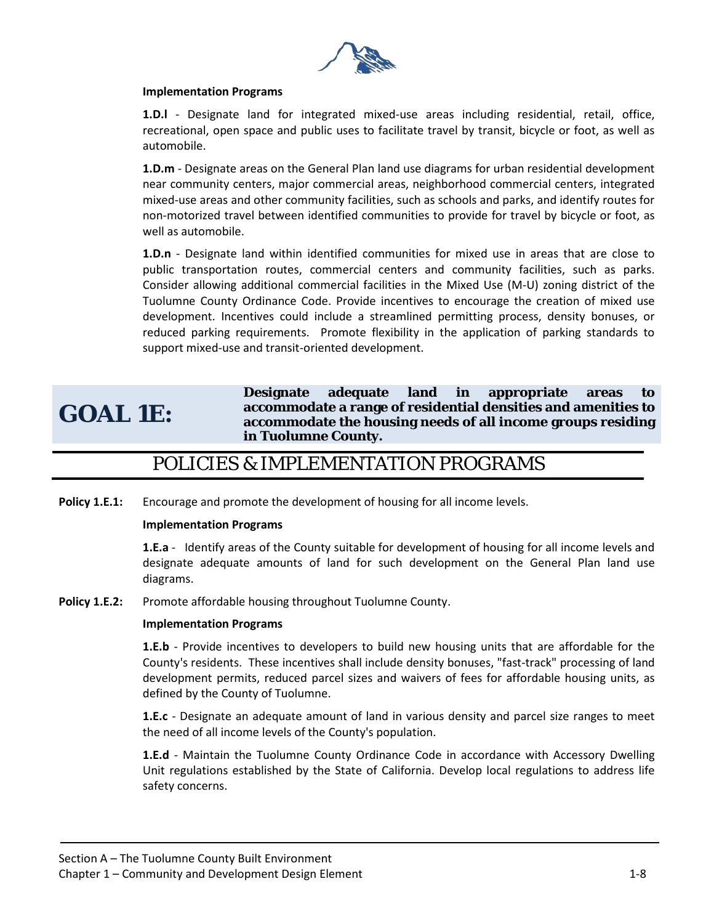

### **Implementation Programs**

**1.D.l** - Designate land for integrated mixed-use areas including residential, retail, office, recreational, open space and public uses to facilitate travel by transit, bicycle or foot, as well as automobile.

**1.D.m** - Designate areas on the General Plan land use diagrams for urban residential development near community centers, major commercial areas, neighborhood commercial centers, integrated mixed-use areas and other community facilities, such as schools and parks, and identify routes for non-motorized travel between identified communities to provide for travel by bicycle or foot, as well as automobile.

**1.D.n** - Designate land within identified communities for mixed use in areas that are close to public transportation routes, commercial centers and community facilities, such as parks. Consider allowing additional commercial facilities in the Mixed Use (M-U) zoning district of the Tuolumne County Ordinance Code. Provide incentives to encourage the creation of mixed use development. Incentives could include a streamlined permitting process, density bonuses, or reduced parking requirements. Promote flexibility in the application of parking standards to support mixed-use and transit-oriented development.

### **GOAL 1E:**

**Designate adequate land in appropriate areas to accommodate a range of residential densities and amenities to accommodate the housing needs of all income groups residing in Tuolumne County.** 

### POLICIES & IMPLEMENTATION PROGRAMS

**Policy 1.E.1:** Encourage and promote the development of housing for all income levels.

#### **Implementation Programs**

**1.E.a** - Identify areas of the County suitable for development of housing for all income levels and designate adequate amounts of land for such development on the General Plan land use diagrams.

**Policy 1.E.2:** Promote affordable housing throughout Tuolumne County.

#### **Implementation Programs**

**1.E.b** - Provide incentives to developers to build new housing units that are affordable for the County's residents. These incentives shall include density bonuses, "fast-track" processing of land development permits, reduced parcel sizes and waivers of fees for affordable housing units, as defined by the County of Tuolumne.

**1.E.c** - Designate an adequate amount of land in various density and parcel size ranges to meet the need of all income levels of the County's population.

**1.E.d** - Maintain the Tuolumne County Ordinance Code in accordance with Accessory Dwelling Unit regulations established by the State of California. Develop local regulations to address life safety concerns.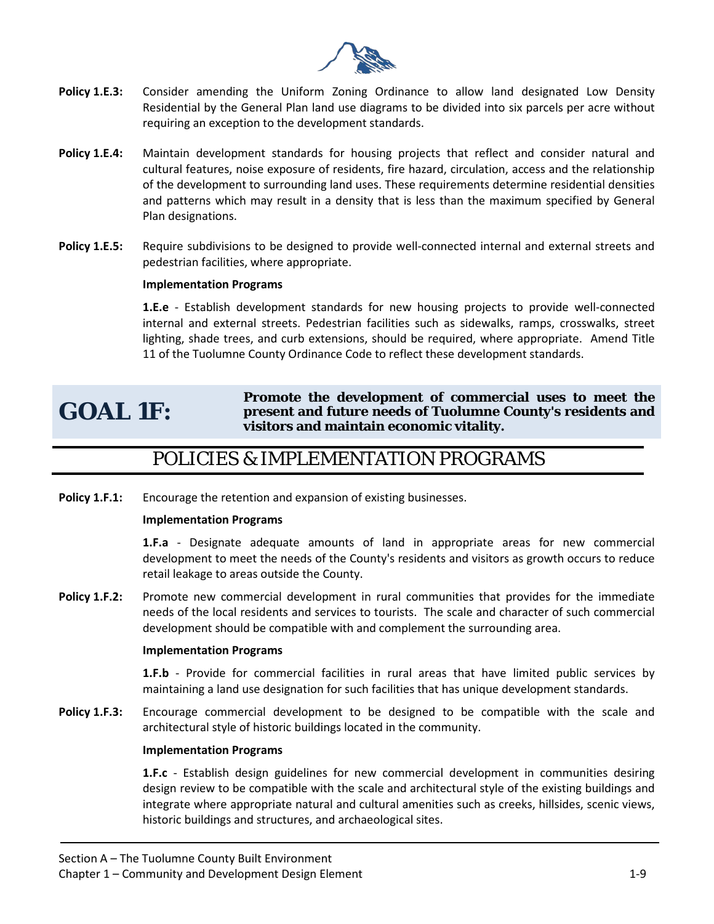

- **Policy 1.E.3:** Consider amending the Uniform Zoning Ordinance to allow land designated Low Density Residential by the General Plan land use diagrams to be divided into six parcels per acre without requiring an exception to the development standards.
- **Policy 1.E.4:** Maintain development standards for housing projects that reflect and consider natural and cultural features, noise exposure of residents, fire hazard, circulation, access and the relationship of the development to surrounding land uses. These requirements determine residential densities and patterns which may result in a density that is less than the maximum specified by General Plan designations.
- **Policy 1.E.5:** Require subdivisions to be designed to provide well-connected internal and external streets and pedestrian facilities, where appropriate.

### **Implementation Programs**

**1.E.e** - Establish development standards for new housing projects to provide well-connected internal and external streets. Pedestrian facilities such as sidewalks, ramps, crosswalks, street lighting, shade trees, and curb extensions, should be required, where appropriate. Amend Title 11 of the Tuolumne County Ordinance Code to reflect these development standards.

### **GOAL 1F:**

### **Promote the development of commercial uses to meet the present and future needs of Tuolumne County's residents and visitors and maintain economic vitality.**

### POLICIES & IMPLEMENTATION PROGRAMS

**Policy 1.F.1:** Encourage the retention and expansion of existing businesses.

#### **Implementation Programs**

**1.F.a** - Designate adequate amounts of land in appropriate areas for new commercial development to meet the needs of the County's residents and visitors as growth occurs to reduce retail leakage to areas outside the County.

**Policy 1.F.2:** Promote new commercial development in rural communities that provides for the immediate needs of the local residents and services to tourists. The scale and character of such commercial development should be compatible with and complement the surrounding area.

#### **Implementation Programs**

**1.F.b** - Provide for commercial facilities in rural areas that have limited public services by maintaining a land use designation for such facilities that has unique development standards.

**Policy 1.F.3:** Encourage commercial development to be designed to be compatible with the scale and architectural style of historic buildings located in the community.

#### **Implementation Programs**

**1.F.c** - Establish design guidelines for new commercial development in communities desiring design review to be compatible with the scale and architectural style of the existing buildings and integrate where appropriate natural and cultural amenities such as creeks, hillsides, scenic views, historic buildings and structures, and archaeological sites.